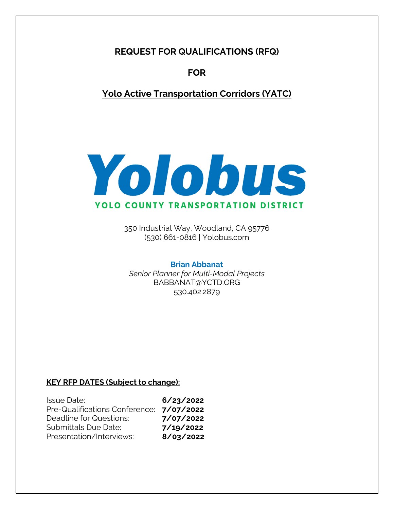**REQUEST FOR QUALIFICATIONS (RFQ)** 

**FOR** 

**Yolo Active Transportation Corridors (YATC)**



350 Industrial Way, Woodland, CA 95776 (530) 661-0816 | Yolobus.com

## **Brian Abbanat**

*Senior Planner for Multi-Modal Projects*  BABBANAT@YCTD.ORG 530.402.2879

## **KEY RFP DATES (Subject to change):**

| <b>Issue Date:</b>             | 6/23/2022 |
|--------------------------------|-----------|
| Pre-Qualifications Conference: | 7/07/2022 |
| Deadline for Questions:        | 7/07/2022 |
| <b>Submittals Due Date:</b>    | 7/19/2022 |
| Presentation/Interviews:       | 8/03/2022 |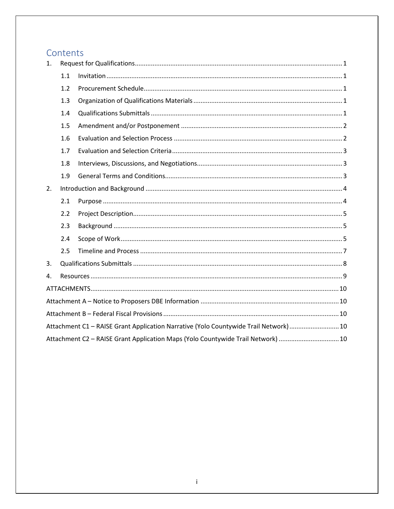# Contents

| 1.                                                                                   |     |  |  |  |
|--------------------------------------------------------------------------------------|-----|--|--|--|
|                                                                                      | 1.1 |  |  |  |
|                                                                                      | 1.2 |  |  |  |
|                                                                                      | 1.3 |  |  |  |
|                                                                                      | 1.4 |  |  |  |
|                                                                                      | 1.5 |  |  |  |
|                                                                                      | 1.6 |  |  |  |
|                                                                                      | 1.7 |  |  |  |
|                                                                                      | 1.8 |  |  |  |
|                                                                                      | 1.9 |  |  |  |
| 2.                                                                                   |     |  |  |  |
|                                                                                      | 2.1 |  |  |  |
|                                                                                      | 2.2 |  |  |  |
|                                                                                      | 2.3 |  |  |  |
|                                                                                      | 2.4 |  |  |  |
|                                                                                      | 2.5 |  |  |  |
| 3.                                                                                   |     |  |  |  |
| 4.                                                                                   |     |  |  |  |
|                                                                                      |     |  |  |  |
|                                                                                      |     |  |  |  |
|                                                                                      |     |  |  |  |
| Attachment C1 - RAISE Grant Application Narrative (Yolo Countywide Trail Network) 10 |     |  |  |  |
| Attachment C2 - RAISE Grant Application Maps (Yolo Countywide Trail Network)  10     |     |  |  |  |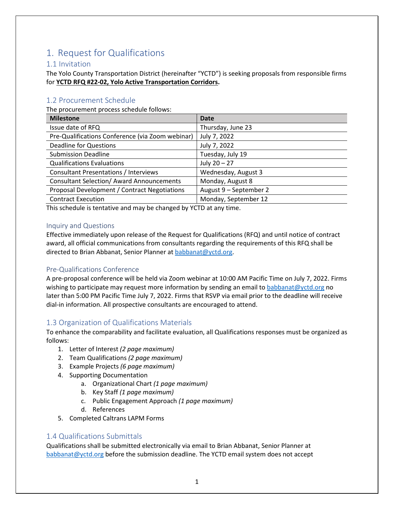# <span id="page-2-0"></span>1. Request for Qualifications

## <span id="page-2-1"></span>1.1 Invitation

The Yolo County Transportation District (hereinafter "YCTD") is seeking proposals from responsible firms for **YCTD RFQ #22-02, Yolo Active Transportation Corridors.** 

## <span id="page-2-2"></span>1.2 Procurement Schedule

The procurement process schedule follows:

| <b>Milestone</b>                                 | <b>Date</b>            |
|--------------------------------------------------|------------------------|
| Issue date of RFQ                                | Thursday, June 23      |
| Pre-Qualifications Conference (via Zoom webinar) | July 7, 2022           |
| <b>Deadline for Questions</b>                    | July 7, 2022           |
| <b>Submission Deadline</b>                       | Tuesday, July 19       |
| <b>Qualifications Evaluations</b>                | July $20 - 27$         |
| <b>Consultant Presentations / Interviews</b>     | Wednesday, August 3    |
| <b>Consultant Selection/ Award Announcements</b> | Monday, August 8       |
| Proposal Development / Contract Negotiations     | August 9 - September 2 |
| <b>Contract Execution</b>                        | Monday, September 12   |

This schedule is tentative and may be changed by YCTD at any time.

### Inquiry and Questions

Effective immediately upon release of the Request for Qualifications (RFQ) and until notice of contract award, all official communications from consultants regarding the requirements of this RFQ shall be directed to Brian Abbanat, Senior Planner at [babbanat@yctd.org.](mailto:babbanat@yctd.org)

## Pre-Qualifications Conference

A pre-proposal conference will be held via Zoom webinar at 10:00 AM Pacific Time on July 7, 2022. Firms wishing to participate may request more information by sending an email to [babbanat@yctd.org](mailto:babbanat@yctd.org) no later than 5:00 PM Pacific Time July 7, 2022. Firms that RSVP via email prior to the deadline will receive dial-in information. All prospective consultants are encouraged to attend.

## <span id="page-2-3"></span>1.3 Organization of Qualifications Materials

To enhance the comparability and facilitate evaluation, all Qualifications responses must be organized as follows:

- 1. Letter of Interest *(2 page maximum)*
- 2. Team Qualifications *(2 page maximum)*
- 3. Example Projects *(6 page maximum)*
- 4. Supporting Documentation
	- a. Organizational Chart *(1 page maximum)*
	- b. Key Staff *(1 page maximum)*
	- c. Public Engagement Approach *(1 page maximum)*
	- d. References
- 5. Completed Caltrans LAPM Forms

## <span id="page-2-4"></span>1.4 Qualifications Submittals

Qualifications shall be submitted electronically via email to Brian Abbanat, Senior Planner at [babbanat@yctd.org](mailto:babbanat@yctd.org) before the submission deadline. The YCTD email system does not accept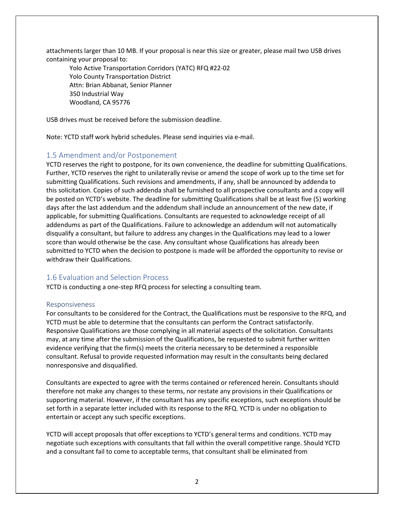attachments larger than 10 MB. If your proposal is near this size or greater, please mail two USB drives containing your proposal to:

Yolo Active Transportation Corridors (YATC) RFQ #22-02 Yolo County Transportation District Attn: Brian Abbanat, Senior Planner 350 Industrial Way Woodland, CA 95776

USB drives must be received before the submission deadline.

Note: YCTD staff work hybrid schedules. Please send inquiries via e-mail.

## <span id="page-3-0"></span>1.5 Amendment and/or Postponement

YCTD reserves the right to postpone, for its own convenience, the deadline for submitting Qualifications. Further, YCTD reserves the right to unilaterally revise or amend the scope of work up to the time set for submitting Qualifications. Such revisions and amendments, if any, shall be announced by addenda to this solicitation. Copies of such addenda shall be furnished to all prospective consultants and a copy will be posted on YCTD's website. The deadline for submitting Qualifications shall be at least five (5) working days after the last addendum and the addendum shall include an announcement of the new date, if applicable, for submitting Qualifications. Consultants are requested to acknowledge receipt of all addendums as part of the Qualifications. Failure to acknowledge an addendum will not automatically disqualify a consultant, but failure to address any changes in the Qualifications may lead to a lower score than would otherwise be the case. Any consultant whose Qualifications has already been submitted to YCTD when the decision to postpone is made will be afforded the opportunity to revise or withdraw their Qualifications.

## <span id="page-3-1"></span>1.6 Evaluation and Selection Process

YCTD is conducting a one-step RFQ process for selecting a consulting team.

#### Responsiveness

For consultants to be considered for the Contract, the Qualifications must be responsive to the RFQ, and YCTD must be able to determine that the consultants can perform the Contract satisfactorily. Responsive Qualifications are those complying in all material aspects of the solicitation. Consultants may, at any time after the submission of the Qualifications, be requested to submit further written evidence verifying that the firm(s) meets the criteria necessary to be determined a responsible consultant. Refusal to provide requested information may result in the consultants being declared nonresponsive and disqualified.

Consultants are expected to agree with the terms contained or referenced herein. Consultants should therefore not make any changes to these terms, nor restate any provisions in their Qualifications or supporting material. However, if the consultant has any specific exceptions, such exceptions should be set forth in a separate letter included with its response to the RFQ. YCTD is under no obligation to entertain or accept any such specific exceptions.

YCTD will accept proposals that offer exceptions to YCTD's general terms and conditions. YCTD may negotiate such exceptions with consultants that fall within the overall competitive range. Should YCTD and a consultant fail to come to acceptable terms, that consultant shall be eliminated from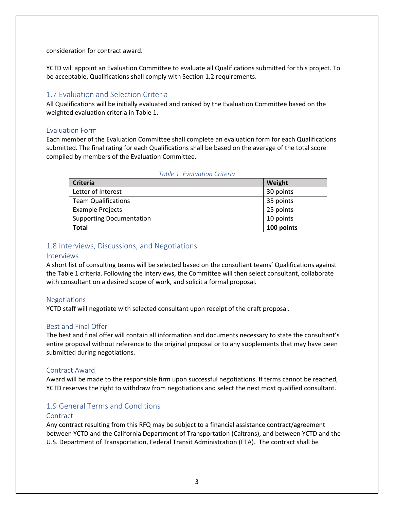consideration for contract award.

YCTD will appoint an Evaluation Committee to evaluate all Qualifications submitted for this project. To be acceptable, Qualifications shall comply with Section 1.2 requirements.

## <span id="page-4-0"></span>1.7 Evaluation and Selection Criteria

All Qualifications will be initially evaluated and ranked by the Evaluation Committee based on the weighted evaluation criteria in Table 1.

#### Evaluation Form

Each member of the Evaluation Committee shall complete an evaluation form for each Qualifications submitted. The final rating for each Qualifications shall be based on the average of the total score compiled by members of the Evaluation Committee.

| <b>Criteria</b>                 | Weight     |  |  |
|---------------------------------|------------|--|--|
| Letter of Interest              | 30 points  |  |  |
| <b>Team Qualifications</b>      | 35 points  |  |  |
| <b>Example Projects</b>         | 25 points  |  |  |
| <b>Supporting Documentation</b> | 10 points  |  |  |
| <b>Total</b>                    | 100 points |  |  |
|                                 |            |  |  |

#### *Table 1. Evaluation Criteria*

## <span id="page-4-1"></span>1.8 Interviews, Discussions, and Negotiations

#### Interviews

A short list of consulting teams will be selected based on the consultant teams' Qualifications against the Table 1 criteria. Following the interviews, the Committee will then select consultant, collaborate with consultant on a desired scope of work, and solicit a formal proposal.

#### Negotiations

YCTD staff will negotiate with selected consultant upon receipt of the draft proposal.

#### Best and Final Offer

The best and final offer will contain all information and documents necessary to state the consultant's entire proposal without reference to the original proposal or to any supplements that may have been submitted during negotiations.

#### Contract Award

Award will be made to the responsible firm upon successful negotiations. If terms cannot be reached, YCTD reserves the right to withdraw from negotiations and select the next most qualified consultant.

### <span id="page-4-2"></span>1.9 General Terms and Conditions

#### **Contract**

Any contract resulting from this RFQ may be subject to a financial assistance contract/agreement between YCTD and the California Department of Transportation (Caltrans), and between YCTD and the U.S. Department of Transportation, Federal Transit Administration (FTA). The contract shall be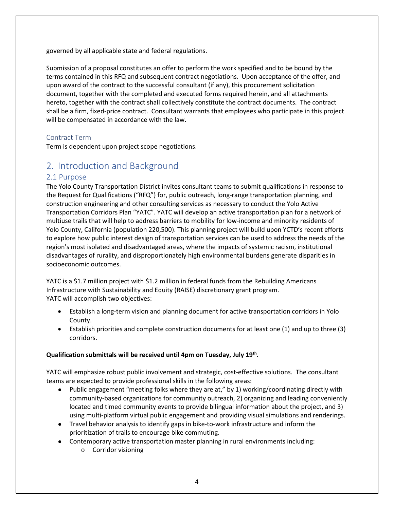governed by all applicable state and federal regulations.

Submission of a proposal constitutes an offer to perform the work specified and to be bound by the terms contained in this RFQ and subsequent contract negotiations. Upon acceptance of the offer, and upon award of the contract to the successful consultant (if any), this procurement solicitation document, together with the completed and executed forms required herein, and all attachments hereto, together with the contract shall collectively constitute the contract documents. The contract shall be a firm, fixed-price contract. Consultant warrants that employees who participate in this project will be compensated in accordance with the law.

## Contract Term

Term is dependent upon project scope negotiations.

# <span id="page-5-0"></span>2. Introduction and Background

## <span id="page-5-1"></span>2.1 Purpose

The Yolo County Transportation District invites consultant teams to submit qualifications in response to the Request for Qualifications ("RFQ") for, public outreach, long-range transportation planning, and construction engineering and other consulting services as necessary to conduct the Yolo Active Transportation Corridors Plan "YATC". YATC will develop an active transportation plan for a network of multiuse trails that will help to address barriers to mobility for low-income and minority residents of Yolo County, California (population 220,500). This planning project will build upon YCTD's recent efforts to explore how public interest design of transportation services can be used to address the needs of the region's most isolated and disadvantaged areas, where the impacts of systemic racism, institutional disadvantages of rurality, and disproportionately high environmental burdens generate disparities in socioeconomic outcomes.

YATC is a \$1.7 million project with \$1.2 million in federal funds from the Rebuilding Americans Infrastructure with Sustainability and Equity (RAISE) discretionary grant program. YATC will accomplish two objectives:

- Establish a long-term vision and planning document for active transportation corridors in Yolo County.
- Establish priorities and complete construction documents for at least one (1) and up to three (3) corridors.

### **Qualification submittals will be received until 4pm on Tuesday, July 19th .**

YATC will emphasize robust public involvement and strategic, cost-effective solutions. The consultant teams are expected to provide professional skills in the following areas:

- Public engagement "meeting folks where they are at," by 1) working/coordinating directly with community-based organizations for community outreach, 2) organizing and leading conveniently located and timed community events to provide bilingual information about the project, and 3) using multi-platform virtual public engagement and providing visual simulations and renderings.
- Travel behavior analysis to identify gaps in bike-to-work infrastructure and inform the prioritization of trails to encourage bike commuting.
- Contemporary active transportation master planning in rural environments including:
	- o Corridor visioning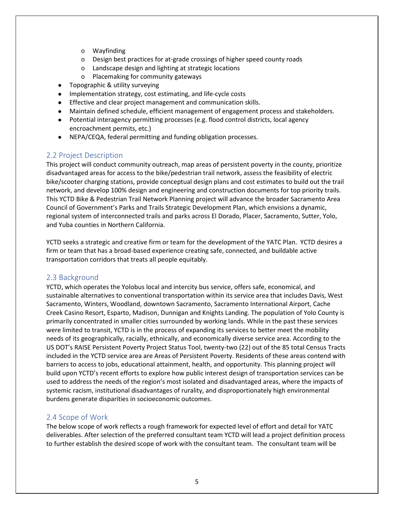- o Wayfinding
- o Design best practices for at-grade crossings of higher speed county roads
- o Landscape design and lighting at strategic locations
- o Placemaking for community gateways
- Topographic & utility surveying
- Implementation strategy, cost estimating, and life-cycle costs
- Effective and clear project management and communication skills.
- Maintain defined schedule, efficient management of engagement process and stakeholders.
- Potential interagency permitting processes (e.g. flood control districts, local agency encroachment permits, etc.)
- NEPA/CEQA, federal permitting and funding obligation processes.

## <span id="page-6-0"></span>2.2 Project Description

This project will conduct community outreach, map areas of persistent poverty in the county, prioritize disadvantaged areas for access to the bike/pedestrian trail network, assess the feasibility of electric bike/scooter charging stations, provide conceptual design plans and cost estimates to build out the trail network, and develop 100% design and engineering and construction documents for top priority trails. This YCTD Bike & Pedestrian Trail Network Planning project will advance the broader Sacramento Area Council of Government's Parks and Trails Strategic Development Plan, which envisions a dynamic, regional system of interconnected trails and parks across El Dorado, Placer, Sacramento, Sutter, Yolo, and Yuba counties in Northern California.

YCTD seeks a strategic and creative firm or team for the development of the YATC Plan. YCTD desires a firm or team that has a broad-based experience creating safe, connected, and buildable active transportation corridors that treats all people equitably.

## <span id="page-6-1"></span>2.3 Background

YCTD, which operates the Yolobus local and intercity bus service, offers safe, economical, and sustainable alternatives to conventional transportation within its service area that includes Davis, West Sacramento, Winters, Woodland, downtown Sacramento, Sacramento International Airport, Cache Creek Casino Resort, Esparto, Madison, Dunnigan and Knights Landing. The population of Yolo County is primarily concentrated in smaller cities surrounded by working lands. While in the past these services were limited to transit, YCTD is in the process of expanding its services to better meet the mobility needs of its geographically, racially, ethnically, and economically diverse service area. According to the US DOT's RAISE Persistent Poverty Project Status Tool, twenty-two (22) out of the 85 total Census Tracts included in the YCTD service area are Areas of Persistent Poverty. Residents of these areas contend with barriers to access to jobs, educational attainment, health, and opportunity. This planning project will build upon YCTD's recent efforts to explore how public interest design of transportation services can be used to address the needs of the region's most isolated and disadvantaged areas, where the impacts of systemic racism, institutional disadvantages of rurality, and disproportionately high environmental burdens generate disparities in socioeconomic outcomes.

## <span id="page-6-2"></span>2.4 Scope of Work

The below scope of work reflects a rough framework for expected level of effort and detail for YATC deliverables. After selection of the preferred consultant team YCTD will lead a project definition process to further establish the desired scope of work with the consultant team. The consultant team will be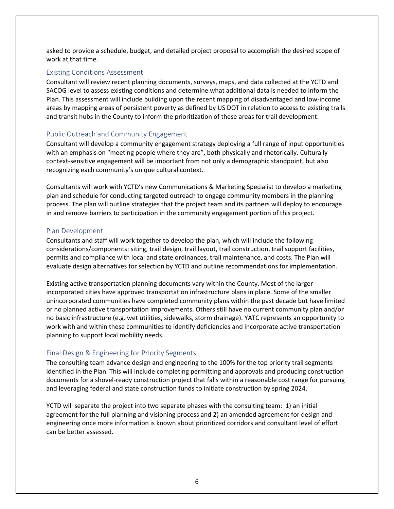asked to provide a schedule, budget, and detailed project proposal to accomplish the desired scope of work at that time.

#### Existing Conditions Assessment

Consultant will review recent planning documents, surveys, maps, and data collected at the YCTD and SACOG level to assess existing conditions and determine what additional data is needed to inform the Plan. This assessment will include building upon the recent mapping of disadvantaged and low-income areas by mapping areas of persistent poverty as defined by US DOT in relation to access to existing trails and transit hubs in the County to inform the prioritization of these areas for trail development.

### Public Outreach and Community Engagement

Consultant will develop a community engagement strategy deploying a full range of input opportunities with an emphasis on "meeting people where they are", both physically and rhetorically. Culturally context-sensitive engagement will be important from not only a demographic standpoint, but also recognizing each community's unique cultural context.

Consultants will work with YCTD's new Communications & Marketing Specialist to develop a marketing plan and schedule for conducting targeted outreach to engage community members in the planning process. The plan will outline strategies that the project team and its partners will deploy to encourage in and remove barriers to participation in the community engagement portion of this project.

#### Plan Development

Consultants and staff will work together to develop the plan, which will include the following considerations/components: siting, trail design, trail layout, trail construction, trail support facilities, permits and compliance with local and state ordinances, trail maintenance, and costs. The Plan will evaluate design alternatives for selection by YCTD and outline recommendations for implementation.

Existing active transportation planning documents vary within the County. Most of the larger incorporated cities have approved transportation infrastructure plans in place. Some of the smaller unincorporated communities have completed community plans within the past decade but have limited or no planned active transportation improvements. Others still have no current community plan and/or no basic infrastructure (e.g. wet utilities, sidewalks, storm drainage). YATC represents an opportunity to work with and within these communities to identify deficiencies and incorporate active transportation planning to support local mobility needs.

### Final Design & Engineering for Priority Segments

The consulting team advance design and engineering to the 100% for the top priority trail segments identified in the Plan. This will include completing permitting and approvals and producing construction documents for a shovel-ready construction project that falls within a reasonable cost range for pursuing and leveraging federal and state construction funds to initiate construction by spring 2024.

YCTD will separate the project into two separate phases with the consulting team: 1) an initial agreement for the full planning and visioning process and 2) an amended agreement for design and engineering once more information is known about prioritized corridors and consultant level of effort can be better assessed.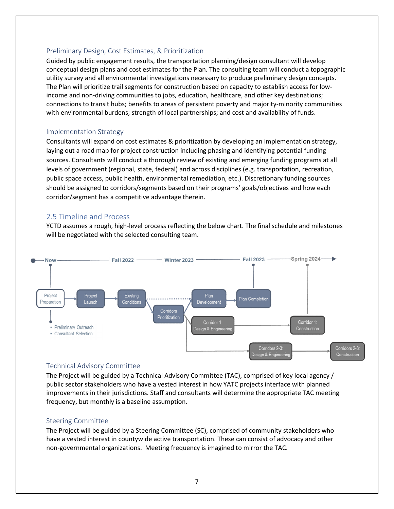#### Preliminary Design, Cost Estimates, & Prioritization

Guided by public engagement results, the transportation planning/design consultant will develop conceptual design plans and cost estimates for the Plan. The consulting team will conduct a topographic utility survey and all environmental investigations necessary to produce preliminary design concepts. The Plan will prioritize trail segments for construction based on capacity to establish access for lowincome and non-driving communities to jobs, education, healthcare, and other key destinations; connections to transit hubs; benefits to areas of persistent poverty and majority-minority communities with environmental burdens; strength of local partnerships; and cost and availability of funds.

#### Implementation Strategy

Consultants will expand on cost estimates & prioritization by developing an implementation strategy, laying out a road map for project construction including phasing and identifying potential funding sources. Consultants will conduct a thorough review of existing and emerging funding programs at all levels of government (regional, state, federal) and across disciplines (e.g. transportation, recreation, public space access, public health, environmental remediation, etc.). Discretionary funding sources should be assigned to corridors/segments based on their programs' goals/objectives and how each corridor/segment has a competitive advantage therein.

## <span id="page-8-0"></span>2.5 Timeline and Process

YCTD assumes a rough, high-level process reflecting the below chart. The final schedule and milestones will be negotiated with the selected consulting team.



### Technical Advisory Committee

The Project will be guided by a Technical Advisory Committee (TAC), comprised of key local agency / public sector stakeholders who have a vested interest in how YATC projects interface with planned improvements in their jurisdictions. Staff and consultants will determine the appropriate TAC meeting frequency, but monthly is a baseline assumption.

#### Steering Committee

The Project will be guided by a Steering Committee (SC), comprised of community stakeholders who have a vested interest in countywide active transportation. These can consist of advocacy and other non-governmental organizations. Meeting frequency is imagined to mirror the TAC.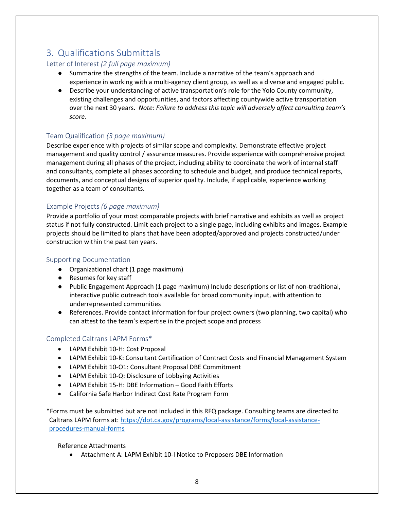# <span id="page-9-0"></span>3. Qualifications Submittals

## Letter of Interest *(2 full page maximum)*

- Summarize the strengths of the team. Include a narrative of the team's approach and experience in working with a multi-agency client group, as well as a diverse and engaged public.
- Describe your understanding of active transportation's role for the Yolo County community, existing challenges and opportunities, and factors affecting countywide active transportation over the next 30 years. *Note: Failure to address this topic will adversely affect consulting team's score.*

## Team Qualification *(3 page maximum)*

Describe experience with projects of similar scope and complexity. Demonstrate effective project management and quality control / assurance measures. Provide experience with comprehensive project management during all phases of the project, including ability to coordinate the work of internal staff and consultants, complete all phases according to schedule and budget, and produce technical reports, documents, and conceptual designs of superior quality. Include, if applicable, experience working together as a team of consultants.

## Example Projects *(6 page maximum)*

Provide a portfolio of your most comparable projects with brief narrative and exhibits as well as project status if not fully constructed. Limit each project to a single page, including exhibits and images. Example projects should be limited to plans that have been adopted/approved and projects constructed/under construction within the past ten years.

## Supporting Documentation

- Organizational chart (1 page maximum)
- Resumes for key staff
- Public Engagement Approach (1 page maximum) Include descriptions or list of non-traditional, interactive public outreach tools available for broad community input, with attention to underrepresented communities
- References. Provide contact information for four project owners (two planning, two capital) who can attest to the team's expertise in the project scope and process

## Completed Caltrans LAPM Forms\*

- LAPM Exhibit 10-H: Cost Proposal
- LAPM Exhibit 10-K: Consultant Certification of Contract Costs and Financial Management System
- LAPM Exhibit 10-O1: Consultant Proposal DBE Commitment
- LAPM Exhibit 10-Q: Disclosure of Lobbying Activities
- LAPM Exhibit 15-H: DBE Information Good Faith Efforts
- California Safe Harbor Indirect Cost Rate Program Form

\*Forms must be submitted but are not included in this RFQ package. Consulting teams are directed to Caltrans LAPM forms at: [https://dot.ca.gov/programs/local-assistance/forms/local-assistance](https://dot.ca.gov/programs/local-assistance/forms/local-assistance-procedures-manual-forms)[procedures-manual-forms](https://dot.ca.gov/programs/local-assistance/forms/local-assistance-procedures-manual-forms)

Reference Attachments

Attachment A: LAPM Exhibit 10-I Notice to Proposers DBE Information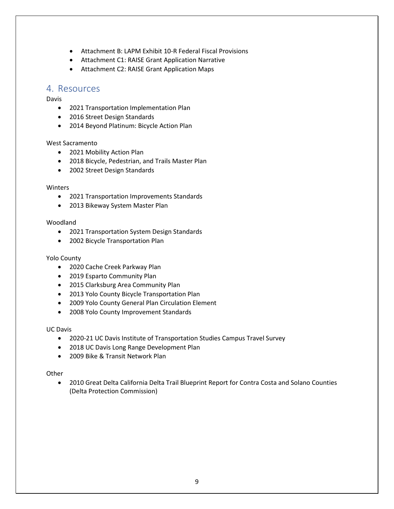- Attachment B: LAPM Exhibit 10-R Federal Fiscal Provisions
- Attachment C1: RAISE Grant Application Narrative
- Attachment C2: RAISE Grant Application Maps

# <span id="page-10-0"></span>4. Resources

#### Davis

- 2021 Transportation Implementation Plan
- 2016 Street Design Standards
- 2014 Beyond Platinum: Bicycle Action Plan

#### West Sacramento

- 2021 Mobility Action Plan
- 2018 Bicycle, Pedestrian, and Trails Master Plan
- 2002 Street Design Standards

#### Winters

- 2021 Transportation Improvements Standards
- 2013 Bikeway System Master Plan

#### Woodland

- 2021 Transportation System Design Standards
- 2002 Bicycle Transportation Plan

#### Yolo County

- 2020 Cache Creek Parkway Plan
- 2019 Esparto Community Plan
- 2015 Clarksburg Area Community Plan
- [2013 Y](https://www.cityofdavis.org/home/showdocument?id=8324)olo County Bicycle Transportation Plan
- 2009 Yolo County General Plan Circulation Element
- 2008 Yolo County Improvement Standards

#### UC Davis

- 2020-21 UC Davis Institute of Transportation Studies Campus Travel Survey
- 2018 UC Davis Long Range Development Plan
- 2009 Bike & Transit Network Plan

#### **Other**

 2010 Great Delta California Delta Trail Blueprint Report for Contra Costa and Solano Counties (Delta Protection Commission)